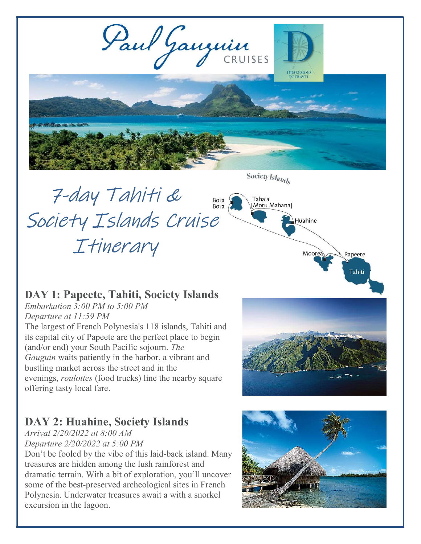

Society Islands

# 7-day Tahiti & Bora<br>Bora Society Islands Cruise Itinerary

Taha'a<br>[Motu Mahana]

Huahine

Moorea

Papeete

Tahiti

## DAY 1: Papeete, Tahiti, Society Islands

Embarkation 3:00 PM to 5:00 PM

Departure at 11:59 PM The largest of French Polynesia's 118 islands, Tahiti and its capital city of Papeete are the perfect place to begin (and/or end) your South Pacific sojourn. The Gauguin waits patiently in the harbor, a vibrant and bustling market across the street and in the evenings, *roulottes* (food trucks) line the nearby square offering tasty local fare.

# DAY 2: Huahine, Society Islands

Arrival 2/20/2022 at 8:00 AM Departure 2/20/2022 at 5:00 PM

Don't be fooled by the vibe of this laid-back island. Many treasures are hidden among the lush rainforest and dramatic terrain. With a bit of exploration, you'll uncover some of the best-preserved archeological sites in French Polynesia. Underwater treasures await a with a snorkel excursion in the lagoon.

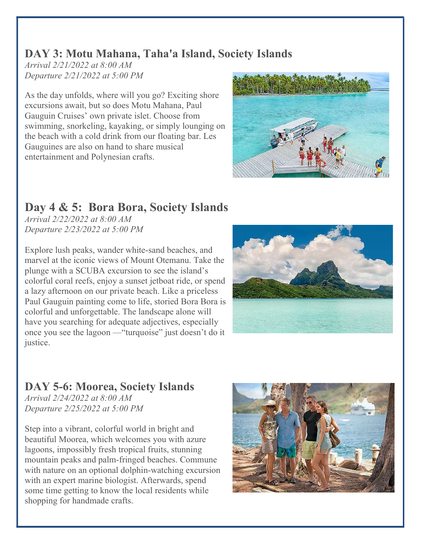#### DAY 3: Motu Mahana, Taha'a Island, Society Islands

Arrival 2/21/2022 at 8:00 AM Departure 2/21/2022 at 5:00 PM

As the day unfolds, where will you go? Exciting shore excursions await, but so does Motu Mahana, Paul Gauguin Cruises' own private islet. Choose from swimming, snorkeling, kayaking, or simply lounging on the beach with a cold drink from our floating bar. Les Gauguines are also on hand to share musical entertainment and Polynesian crafts.



# Day 4 & 5: Bora Bora, Society Islands

Arrival 2/22/2022 at 8:00 AM Departure 2/23/2022 at 5:00 PM

Explore lush peaks, wander white-sand beaches, and marvel at the iconic views of Mount Otemanu. Take the plunge with a SCUBA excursion to see the island's colorful coral reefs, enjoy a sunset jetboat ride, or spend a lazy afternoon on our private beach. Like a priceless Paul Gauguin painting come to life, storied Bora Bora is colorful and unforgettable. The landscape alone will have you searching for adequate adjectives, especially once you see the lagoon —"turquoise" just doesn't do it justice.



# DAY 5-6: Moorea, Society Islands

Arrival 2/24/2022 at 8:00 AM Departure 2/25/2022 at 5:00 PM

Step into a vibrant, colorful world in bright and beautiful Moorea, which welcomes you with azure lagoons, impossibly fresh tropical fruits, stunning mountain peaks and palm-fringed beaches. Commune with nature on an optional dolphin-watching excursion with an expert marine biologist. Afterwards, spend some time getting to know the local residents while shopping for handmade crafts.